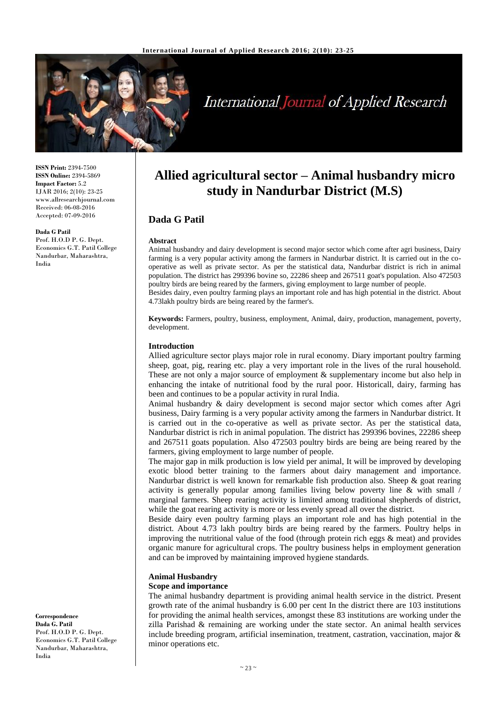

# **International Journal of Applied Research**

**ISSN Print:** 2394-7500 **ISSN Online:** 2394-5869 **Impact Factor:** 5.2 IJAR 2016; 2(10): 23-25 www.allresearchjournal.com Received: 06-08-2016 Accepted: 07-09-2016

**Dada G Patil** Prof. H.O.D P. G. Dept. Economics G.T. Patil College Nandurbar, Maharashtra, India

**Allied agricultural sector – Animal husbandry micro study in Nandurbar District (M.S)**

# **Dada G Patil**

#### **Abstract**

Animal husbandry and dairy development is second major sector which come after agri business, Dairy farming is a very popular activity among the farmers in Nandurbar district. It is carried out in the cooperative as well as private sector. As per the statistical data, Nandurbar district is rich in animal population. The district has 299396 bovine so, 22286 sheep and 267511 goat's population. Also 472503 poultry birds are being reared by the farmers, giving employment to large number of people. Besides dairy, even poultry farming plays an important role and has high potential in the district. About 4.73lakh poultry birds are being reared by the farmer's.

**Keywords:** Farmers, poultry, business, employment, Animal, dairy, production, management, poverty, development.

#### **Introduction**

Allied agriculture sector plays major role in rural economy. Diary important poultry farming sheep, goat, pig, rearing etc. play a very important role in the lives of the rural household. These are not only a major source of employment & supplementary income but also help in enhancing the intake of nutritional food by the rural poor. Historicall, dairy, farming has been and continues to be a popular activity in rural India.

Animal husbandry & dairy development is second major sector which comes after Agri business, Dairy farming is a very popular activity among the farmers in Nandurbar district. It is carried out in the co-operative as well as private sector. As per the statistical data, Nandurbar district is rich in animal population. The district has 299396 bovines, 22286 sheep and 267511 goats population. Also 472503 poultry birds are being are being reared by the farmers, giving employment to large number of people.

The major gap in milk production is low yield per animal, It will be improved by developing exotic blood better training to the farmers about dairy management and importance. Nandurbar district is well known for remarkable fish production also. Sheep  $\&$  goat rearing activity is generally popular among families living below poverty line  $\&$  with small  $\frac{1}{\ }$ marginal farmers. Sheep rearing activity is limited among traditional shepherds of district, while the goat rearing activity is more or less evenly spread all over the district.

Beside dairy even poultry farming plays an important role and has high potential in the district. About 4.73 lakh poultry birds are being reared by the farmers. Poultry helps in improving the nutritional value of the food (through protein rich eggs  $\&$  meat) and provides organic manure for agricultural crops. The poultry business helps in employment generation and can be improved by maintaining improved hygiene standards.

# **Animal Husbandry**

#### **Scope and importance**

The animal husbandry department is providing animal health service in the district. Present growth rate of the animal husbandry is 6.00 per cent In the district there are 103 institutions for providing the animal health services, amongst these 83 institutions are working under the zilla Parishad & remaining are working under the state sector. An animal health services include breeding program, artificial insemination, treatment, castration, vaccination, major & minor operations etc.

**Correspondence Dada G. Patil** Prof. H.O.D P. G. Dept. Economics G.T. Patil College Nandurbar, Maharashtra, India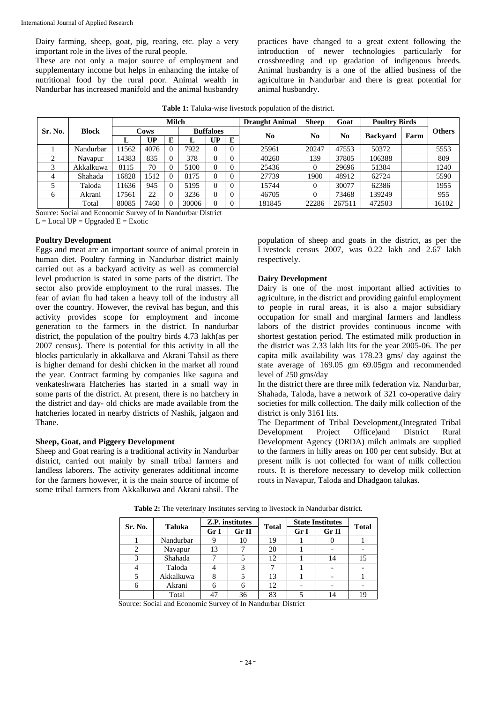Dairy farming, sheep, goat, pig, rearing, etc. play a very important role in the lives of the rural people.

These are not only a major source of employment and supplementary income but helps in enhancing the intake of nutritional food by the rural poor. Animal wealth in Nandurbar has increased manifold and the animal husbandry

practices have changed to a great extent following the introduction of newer technologies particularly for crossbreeding and up gradation of indigenous breeds. Animal husbandry is a one of the allied business of the agriculture in Nandurbar and there is great potential for animal husbandry.

|              | <b>Block</b> | <b>Milch</b> |           |          |                  | <b>Draught Animal</b> | <b>Sheep</b> | Goat           | <b>Poultry Birds</b> |        |                 |      |               |
|--------------|--------------|--------------|-----------|----------|------------------|-----------------------|--------------|----------------|----------------------|--------|-----------------|------|---------------|
| Sr. No.      |              | Cows         |           |          | <b>Buffaloes</b> |                       |              |                | N <sub>0</sub>       |        |                 |      | <b>Others</b> |
|              |              |              | <b>UP</b> | E        |                  | UP                    | E            | N <sub>0</sub> |                      | No     | <b>Backvard</b> | Farm |               |
|              | Nandurbar    | 1562         | 4076      | $\Omega$ | 7922             |                       | $\Omega$     | 25961          | 20247                | 47553  | 50372           |      | 5553          |
|              | Navapur      | 14383        | 835       | $\Omega$ | 378              | O                     | $\Omega$     | 40260          | 139                  | 37805  | 106388          |      | 809           |
|              | Akkalkuwa    | 8115         | 70        |          | 5100             |                       | $\Omega$     | 25436          |                      | 29696  | 51384           |      | 1240          |
|              | Shahada      | 16828        | 1512      | $\Omega$ | 8175             |                       | $\Omega$     | 27739          | 1900                 | 48912  | 62724           |      | 5590          |
|              | Taloda       | 1636         | 945       | $\Omega$ | 5195             |                       | $\Omega$     | 15744          |                      | 30077  | 62386           |      | 1955          |
| <sub>6</sub> | Akrani       | 7561         | 22        | $\theta$ | 3236             |                       | $\Omega$     | 46705          |                      | 73468  | 139249          |      | 955           |
|              | Total        | 80085        | 7460      | $\Omega$ | 30006            |                       | $\Omega$     | 181845         | 22286                | 267511 | 472503          |      | 16102         |

Source: Social and Economic Survey of In Nandurbar District

 $L =$ Local UP = Upgraded  $E =$ Exotic

#### **Poultry Development**

Eggs and meat are an important source of animal protein in human diet. Poultry farming in Nandurbar district mainly carried out as a backyard activity as well as commercial level production is stated in some parts of the district. The sector also provide employment to the rural masses. The fear of avian flu had taken a heavy toll of the industry all over the country. However, the revival has begun, and this activity provides scope for employment and income generation to the farmers in the district. In nandurbar district, the population of the poultry birds 4.73 lakh(as per 2007 census). There is potential for this activity in all the blocks particularly in akkalkuva and Akrani Tahsil as there is higher demand for deshi chicken in the market all round the year. Contract farming by companies like saguna and venkateshwara Hatcheries has started in a small way in some parts of the district. At present, there is no hatchery in the district and day- old chicks are made available from the hatcheries located in nearby districts of Nashik, jalgaon and Thane.

#### **Sheep, Goat, and Piggery Development**

Sheep and Goat rearing is a traditional activity in Nandurbar district, carried out mainly by small tribal farmers and landless laborers. The activity generates additional income for the farmers however, it is the main source of income of some tribal farmers from Akkalkuwa and Akrani tahsil. The

population of sheep and goats in the district, as per the Livestock census 2007, was 0.22 lakh and 2.67 lakh respectively.

#### **Dairy Development**

Dairy is one of the most important allied activities to agriculture, in the district and providing gainful employment to people in rural areas, it is also a major subsidiary occupation for small and marginal farmers and landless labors of the district provides continuous income with shortest gestation period. The estimated milk production in the district was 2.33 lakh lits for the year 2005-06. The per capita milk availability was 178.23 gms/ day against the state average of 169.05 gm 69.05gm and recommended level of 250 gms/day

In the district there are three milk federation viz. Nandurbar, Shahada, Taloda, have a network of 321 co-operative dairy societies for milk collection. The daily milk collection of the district is only 3161 lits.

The Department of Tribal Development,(Integrated Tribal Development Project Office)and District Rural Development Agency (DRDA) milch animals are supplied to the farmers in hilly areas on 100 per cent subsidy. But at present milk is not collected for want of milk collection routs. It is therefore necessary to develop milk collection routs in Navapur, Taloda and Dhadgaon talukas.

| Sr. No. | <b>Taluka</b> |      | Z.P. institutes | <b>Total</b> | <b>State Institutes</b> | <b>Total</b> |    |
|---------|---------------|------|-----------------|--------------|-------------------------|--------------|----|
|         |               | Gr I | Gr II           |              | Gr I                    | Gr II        |    |
|         | Nandurbar     |      | 10              | 19           |                         |              |    |
|         | Navapur       | 13   |                 | 20           |                         |              |    |
|         | Shahada       |      |                 | 12           |                         | 14           | 15 |
|         | Taloda        |      |                 |              |                         |              |    |
|         | Akkalkuwa     |      |                 | 13           |                         |              |    |
|         | Akrani        |      |                 | 12           |                         |              |    |
|         | Total         |      | 36              | 83           |                         |              | 19 |

**Table 2:** The veterinary Institutes serving to livestock in Nandurbar district.

Source: Social and Economic Survey of In Nandurbar District